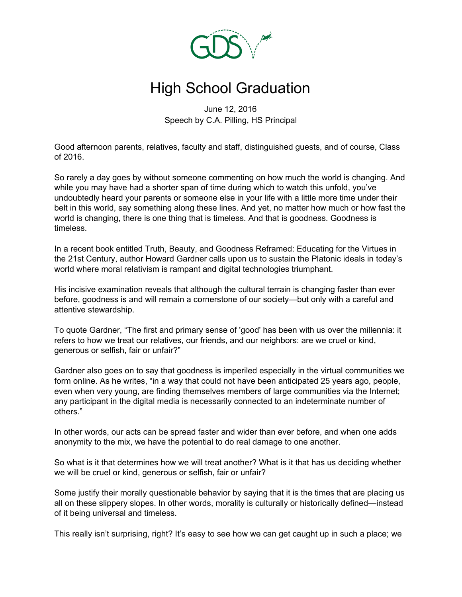

## High School Graduation

June 12, 2016 Speech by C.A. Pilling, HS Principal

Good afternoon parents, relatives, faculty and staff, distinguished guests, and of course, Class of 2016.

So rarely a day goes by without someone commenting on how much the world is changing. And while you may have had a shorter span of time during which to watch this unfold, you've undoubtedly heard your parents or someone else in your life with a little more time under their belt in this world, say something along these lines. And yet, no matter how much or how fast the world is changing, there is one thing that is timeless. And that is goodness. Goodness is timeless.

In a recent book entitled Truth, Beauty, and Goodness Reframed: Educating for the Virtues in the 21st Century, author Howard Gardner calls upon us to sustain the Platonic ideals in today's world where moral relativism is rampant and digital technologies triumphant.

His incisive examination reveals that although the cultural terrain is changing faster than ever before, goodness is and will remain a cornerstone of our society—but only with a careful and attentive stewardship.

To quote Gardner, "The first and primary sense of 'good' has been with us over the millennia: it refers to how we treat our relatives, our friends, and our neighbors: are we cruel or kind, generous or selfish, fair or unfair?"

Gardner also goes on to say that goodness is imperiled especially in the virtual communities we form online. As he writes, "in a way that could not have been anticipated 25 years ago, people, even when very young, are finding themselves members of large communities via the Internet; any participant in the digital media is necessarily connected to an indeterminate number of others."

In other words, our acts can be spread faster and wider than ever before, and when one adds anonymity to the mix, we have the potential to do real damage to one another.

So what is it that determines how we will treat another? What is it that has us deciding whether we will be cruel or kind, generous or selfish, fair or unfair?

Some justify their morally questionable behavior by saying that it is the times that are placing us all on these slippery slopes. In other words, morality is culturally or historically defined—instead of it being universal and timeless.

This really isn't surprising, right? It's easy to see how we can get caught up in such a place; we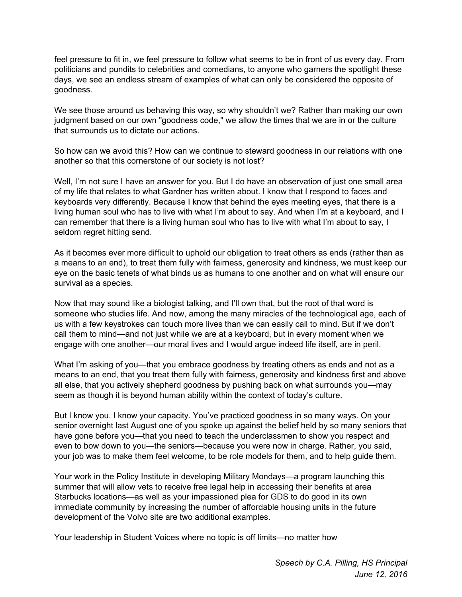feel pressure to fit in, we feel pressure to follow what seems to be in front of us every day. From politicians and pundits to celebrities and comedians, to anyone who garners the spotlight these days, we see an endless stream of examples of what can only be considered the opposite of goodness.

We see those around us behaving this way, so why shouldn't we? Rather than making our own judgment based on our own "goodness code," we allow the times that we are in or the culture that surrounds us to dictate our actions.

So how can we avoid this? How can we continue to steward goodness in our relations with one another so that this cornerstone of our society is not lost?

Well, I'm not sure I have an answer for you. But I do have an observation of just one small area of my life that relates to what Gardner has written about. I know that I respond to faces and keyboards very differently. Because I know that behind the eyes meeting eyes, that there is a living human soul who has to live with what I'm about to say. And when I'm at a keyboard, and I can remember that there is a living human soul who has to live with what I'm about to say, I seldom regret hitting send.

As it becomes ever more difficult to uphold our obligation to treat others as ends (rather than as a means to an end), to treat them fully with fairness, generosity and kindness, we must keep our eye on the basic tenets of what binds us as humans to one another and on what will ensure our survival as a species.

Now that may sound like a biologist talking, and I'll own that, but the root of that word is someone who studies life. And now, among the many miracles of the technological age, each of us with a few keystrokes can touch more lives than we can easily call to mind. But if we don't call them to mind—and not just while we are at a keyboard, but in every moment when we engage with one another—our moral lives and I would argue indeed life itself, are in peril.

What I'm asking of you—that you embrace goodness by treating others as ends and not as a means to an end, that you treat them fully with fairness, generosity and kindness first and above all else, that you actively shepherd goodness by pushing back on what surrounds you—may seem as though it is beyond human ability within the context of today's culture.

But I know you. I know your capacity. You've practiced goodness in so many ways. On your senior overnight last August one of you spoke up against the belief held by so many seniors that have gone before you—that you need to teach the underclassmen to show you respect and even to bow down to you—the seniors—because you were now in charge. Rather, you said, your job was to make them feel welcome, to be role models for them, and to help guide them.

Your work in the Policy Institute in developing Military Mondays—a program launching this summer that will allow vets to receive free legal help in accessing their benefits at area Starbucks locations—as well as your impassioned plea for GDS to do good in its own immediate community by increasing the number of affordable housing units in the future development of the Volvo site are two additional examples.

Your leadership in Student Voices where no topic is off limits—no matter how